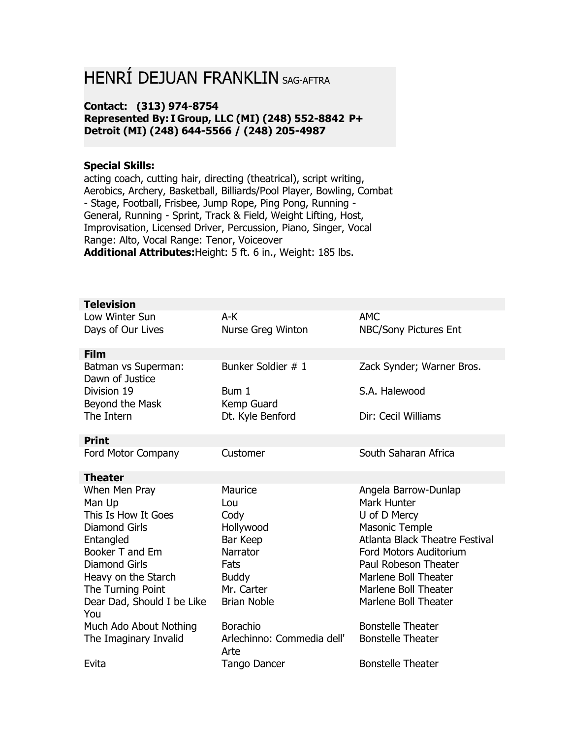## HENRÍ DEJUAN FRANKLIN SAG-AFTRA

## **Contact: (313) 974-8754 Represented By: I Group, LLC (MI) (248) 552-8842 P+ Detroit (MI) (248) 644-5566 / (248) 205-4987**

## **Special Skills:**

acting coach, cutting hair, directing (theatrical), script writing, Aerobics, Archery, Basketball, Billiards/Pool Player, Bowling, Combat - Stage, Football, Frisbee, Jump Rope, Ping Pong, Running - General, Running - Sprint, Track & Field, Weight Lifting, Host, Improvisation, Licensed Driver, Percussion, Piano, Singer, Vocal Range: Alto, Vocal Range: Tenor, Voiceover **Additional Attributes:**Height: 5 ft. 6 in., Weight: 185 lbs.

| <b>Television</b>                      |                                    |                                       |
|----------------------------------------|------------------------------------|---------------------------------------|
| Low Winter Sun                         | A-K                                | <b>AMC</b>                            |
| Days of Our Lives                      | Nurse Greg Winton                  | NBC/Sony Pictures Ent                 |
| <b>Film</b>                            |                                    |                                       |
| Batman vs Superman:<br>Dawn of Justice | Bunker Soldier # 1                 | Zack Synder; Warner Bros.             |
| Division 19                            | Bum 1                              | S.A. Halewood                         |
| Beyond the Mask                        | Kemp Guard                         |                                       |
| The Intern                             | Dt. Kyle Benford                   | Dir: Cecil Williams                   |
| <b>Print</b>                           |                                    |                                       |
| Ford Motor Company                     | Customer                           | South Saharan Africa                  |
| <b>Theater</b>                         |                                    |                                       |
| When Men Pray                          | Maurice                            | Angela Barrow-Dunlap                  |
| Man Up                                 | Lou                                | <b>Mark Hunter</b>                    |
| This Is How It Goes                    | Cody                               | U of D Mercy                          |
| <b>Diamond Girls</b>                   | Hollywood                          | <b>Masonic Temple</b>                 |
|                                        |                                    |                                       |
| Entangled                              | Bar Keep                           | <b>Atlanta Black Theatre Festival</b> |
| Booker T and Em                        | Narrator                           | Ford Motors Auditorium                |
| <b>Diamond Girls</b>                   | Fats                               | Paul Robeson Theater                  |
| Heavy on the Starch                    | <b>Buddy</b>                       | Marlene Boll Theater                  |
| The Turning Point                      | Mr. Carter                         | Marlene Boll Theater                  |
| Dear Dad, Should I be Like             | <b>Brian Noble</b>                 | Marlene Boll Theater                  |
| You                                    |                                    |                                       |
| Much Ado About Nothing                 | Borachio                           | <b>Bonstelle Theater</b>              |
| The Imaginary Invalid                  | Arlechinno: Commedia dell'<br>Arte | <b>Bonstelle Theater</b>              |